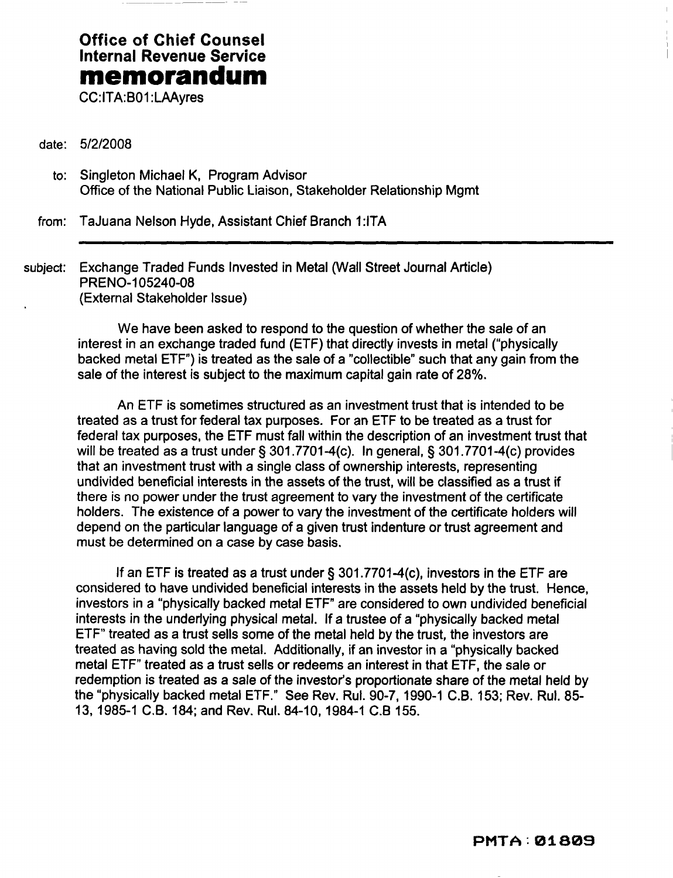## **Office of Chief Counsel Internal Revenue Service memorandum**

CC:ITA:B01 :LAAyres

- date: *5/2/2008* 
	- to: Singleton Michael K, Program Advisor Office of the National Public Liaison, Stakeholder Relationship Mgmt

from: TaJuana Nelson Hyde, Assistant Chief Branch 1:ITA

subject: Exchange Traded Funds Invested in Metal (Wall Street Journal Article) PRENO-105240-08 (External Stakeholder Issue)

> We have been asked to respond to the question of whether the sale of an interest in an exchange traded fund (ETF) that directly invests in metal ("physically backed metal ETF") is treated as the sale of a "collectible" such that any gain from the sale of the interest is subject to the maximum capital gain rate of 28%.

An ETF is sometimes structured as an investment trust that is intended to be treated as a trust for federal tax purposes. For an ETF to be treated as a trust for federal tax purposes, the ETF must fall within the description of an investment trust that will be treated as a trust under § 301.7701-4(c). In general, § 301.7701-4(c) provides that an investment trust with a single class of ownership interests, representing undivided beneficial interests in the assets of the trust, will be classified as a trust if there is no power under the trust agreement to vary the investment of the certificate holders. The existence of a power to vary the investment of the certificate holders will depend on the particular language of a given trust indenture or trust agreement and must be determined on a case by case basis.

If an ETF is treated as a trust under § 301.7701-4(c), investors in the ETF are considered to have undivided beneficial interests in the assets held by the trust. Hence, investors in a "physically backed metal ETF" are considered to own undivided beneficial interests in the underlying physical metal. If a trustee of a "physically backed metal ETF" treated as a trust sells some of the metal held by the trust, the investors are treated as having sold the metal. Additionally, if an investor in a "physically backed metal ETF" treated as a trust sells or redeems an interest in that ETF, the sale or redemption is treated as a sale of the investor's proportionate share of the metal held by the "physically backed metal ETF." See Rev. Rul. 90-7,1990-1 C.B. 153; Rev. Rul. 85 13, 1985-1 C.B. 184; and Rev. Rul. 84-10, 1984-1 C.B 155.